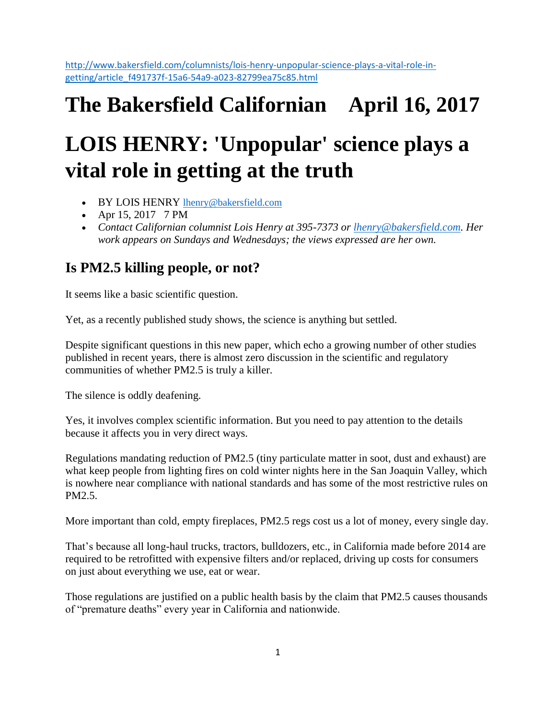[http://www.bakersfield.com/columnists/lois-henry-unpopular-science-plays-a-vital-role-in](http://www.bakersfield.com/columnists/lois-henry-unpopular-science-plays-a-vital-role-in-getting/article_f491737f-15a6-54a9-a023-82799ea75c85.html)[getting/article\\_f491737f-15a6-54a9-a023-82799ea75c85.html](http://www.bakersfield.com/columnists/lois-henry-unpopular-science-plays-a-vital-role-in-getting/article_f491737f-15a6-54a9-a023-82799ea75c85.html)

## **The Bakersfield Californian April 16, 2017**

# **LOIS HENRY: 'Unpopular' science plays a vital role in getting at the truth**

- BY LOIS HENRY [lhenry@bakersfield.com](mailto:lhenry@bakersfield.com)
- Apr 15, 2017 7 PM
- *Contact Californian columnist Lois Henry at 395-7373 or [lhenry@bakersfield.com.](mailto:lhenry@bakersfield.com) Her work appears on Sundays and Wednesdays; the views expressed are her own.*

### **Is PM2.5 killing people, or not?**

It seems like a basic scientific question.

Yet, as a recently published study shows, the science is anything but settled.

Despite significant questions in this new paper, which echo a growing number of other studies published in recent years, there is almost zero discussion in the scientific and regulatory communities of whether PM2.5 is truly a killer.

The silence is oddly deafening.

Yes, it involves complex scientific information. But you need to pay attention to the details because it affects you in very direct ways.

Regulations mandating reduction of PM2.5 (tiny particulate matter in soot, dust and exhaust) are what keep people from lighting fires on cold winter nights here in the San Joaquin Valley, which is nowhere near compliance with national standards and has some of the most restrictive rules on PM2.5.

More important than cold, empty fireplaces, PM2.5 regs cost us a lot of money, every single day.

That's because all long-haul trucks, tractors, bulldozers, etc., in California made before 2014 are required to be retrofitted with expensive filters and/or replaced, driving up costs for consumers on just about everything we use, eat or wear.

Those regulations are justified on a public health basis by the claim that PM2.5 causes thousands of "premature deaths" every year in California and nationwide.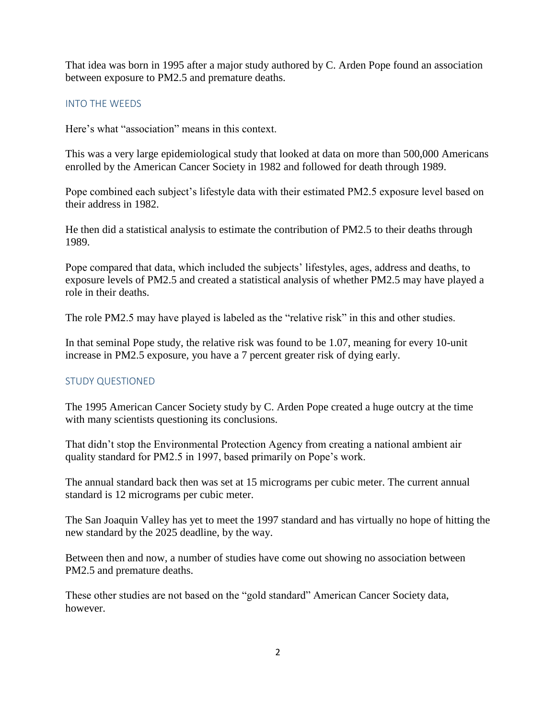That idea was born in 1995 after a major study authored by C. Arden Pope found an association between exposure to PM2.5 and premature deaths.

#### INTO THE WEEDS

Here's what "association" means in this context.

This was a very large epidemiological study that looked at data on more than 500,000 Americans enrolled by the American Cancer Society in 1982 and followed for death through 1989.

Pope combined each subject's lifestyle data with their estimated PM2.5 exposure level based on their address in 1982.

He then did a statistical analysis to estimate the contribution of PM2.5 to their deaths through 1989.

Pope compared that data, which included the subjects' lifestyles, ages, address and deaths, to exposure levels of PM2.5 and created a statistical analysis of whether PM2.5 may have played a role in their deaths.

The role PM2.5 may have played is labeled as the "relative risk" in this and other studies.

In that seminal Pope study, the relative risk was found to be 1.07, meaning for every 10-unit increase in PM2.5 exposure, you have a 7 percent greater risk of dying early.

#### STUDY QUESTIONED

The 1995 American Cancer Society study by C. Arden Pope created a huge outcry at the time with many scientists questioning its conclusions.

That didn't stop the Environmental Protection Agency from creating a national ambient air quality standard for PM2.5 in 1997, based primarily on Pope's work.

The annual standard back then was set at 15 micrograms per cubic meter. The current annual standard is 12 micrograms per cubic meter.

The San Joaquin Valley has yet to meet the 1997 standard and has virtually no hope of hitting the new standard by the 2025 deadline, by the way.

Between then and now, a number of studies have come out showing no association between PM2.5 and premature deaths.

These other studies are not based on the "gold standard" American Cancer Society data, however.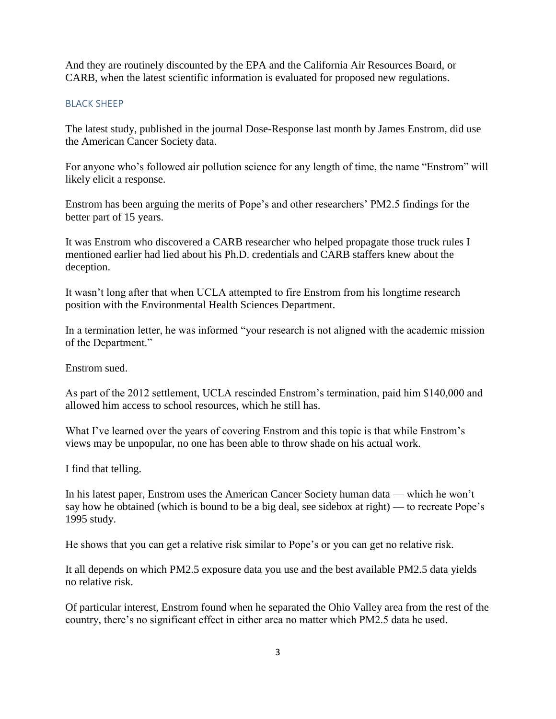And they are routinely discounted by the EPA and the California Air Resources Board, or CARB, when the latest scientific information is evaluated for proposed new regulations.

#### BLACK SHEEP

The latest study, published in the journal Dose-Response last month by James Enstrom, did use the American Cancer Society data.

For anyone who's followed air pollution science for any length of time, the name "Enstrom" will likely elicit a response.

Enstrom has been arguing the merits of Pope's and other researchers' PM2.5 findings for the better part of 15 years.

It was Enstrom who discovered a CARB researcher who helped propagate those truck rules I mentioned earlier had lied about his Ph.D. credentials and CARB staffers knew about the deception.

It wasn't long after that when UCLA attempted to fire Enstrom from his longtime research position with the Environmental Health Sciences Department.

In a termination letter, he was informed "your research is not aligned with the academic mission of the Department."

Enstrom sued.

As part of the 2012 settlement, UCLA rescinded Enstrom's termination, paid him \$140,000 and allowed him access to school resources, which he still has.

What I've learned over the years of covering Enstrom and this topic is that while Enstrom's views may be unpopular, no one has been able to throw shade on his actual work.

I find that telling.

In his latest paper, Enstrom uses the American Cancer Society human data — which he won't say how he obtained (which is bound to be a big deal, see sidebox at right) — to recreate Pope's 1995 study.

He shows that you can get a relative risk similar to Pope's or you can get no relative risk.

It all depends on which PM2.5 exposure data you use and the best available PM2.5 data yields no relative risk.

Of particular interest, Enstrom found when he separated the Ohio Valley area from the rest of the country, there's no significant effect in either area no matter which PM2.5 data he used.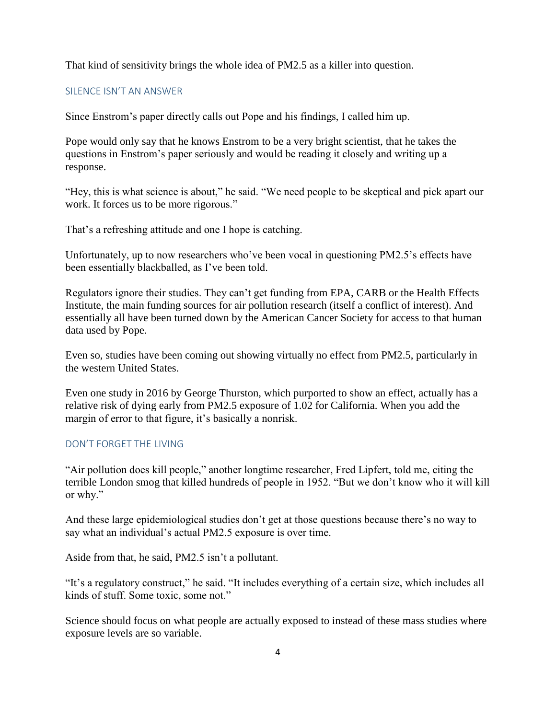That kind of sensitivity brings the whole idea of PM2.5 as a killer into question.

#### SILENCE ISN'T AN ANSWER

Since Enstrom's paper directly calls out Pope and his findings, I called him up.

Pope would only say that he knows Enstrom to be a very bright scientist, that he takes the questions in Enstrom's paper seriously and would be reading it closely and writing up a response.

"Hey, this is what science is about," he said. "We need people to be skeptical and pick apart our work. It forces us to be more rigorous."

That's a refreshing attitude and one I hope is catching.

Unfortunately, up to now researchers who've been vocal in questioning PM2.5's effects have been essentially blackballed, as I've been told.

Regulators ignore their studies. They can't get funding from EPA, CARB or the Health Effects Institute, the main funding sources for air pollution research (itself a conflict of interest). And essentially all have been turned down by the American Cancer Society for access to that human data used by Pope.

Even so, studies have been coming out showing virtually no effect from PM2.5, particularly in the western United States.

Even one study in 2016 by George Thurston, which purported to show an effect, actually has a relative risk of dying early from PM2.5 exposure of 1.02 for California. When you add the margin of error to that figure, it's basically a nonrisk.

#### DON'T FORGET THE LIVING

"Air pollution does kill people," another longtime researcher, Fred Lipfert, told me, citing the terrible London smog that killed hundreds of people in 1952. "But we don't know who it will kill or why."

And these large epidemiological studies don't get at those questions because there's no way to say what an individual's actual PM2.5 exposure is over time.

Aside from that, he said, PM2.5 isn't a pollutant.

"It's a regulatory construct," he said. "It includes everything of a certain size, which includes all kinds of stuff. Some toxic, some not."

Science should focus on what people are actually exposed to instead of these mass studies where exposure levels are so variable.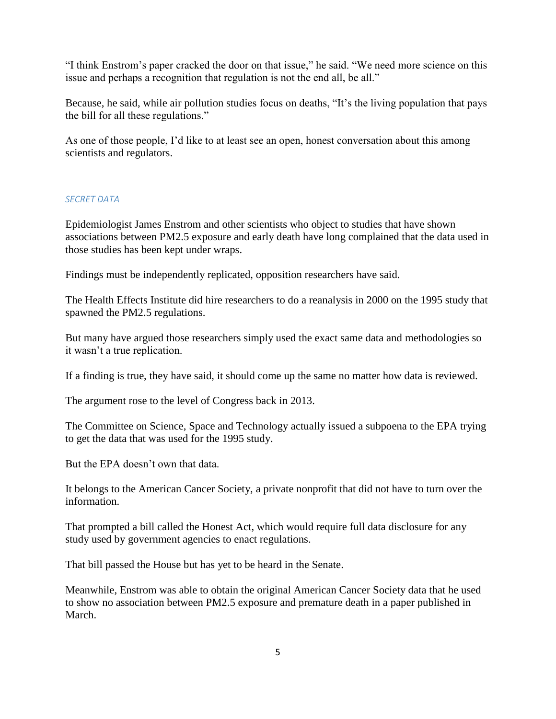"I think Enstrom's paper cracked the door on that issue," he said. "We need more science on this issue and perhaps a recognition that regulation is not the end all, be all."

Because, he said, while air pollution studies focus on deaths, "It's the living population that pays the bill for all these regulations."

As one of those people, I'd like to at least see an open, honest conversation about this among scientists and regulators.

#### *SECRET DATA*

Epidemiologist James Enstrom and other scientists who object to studies that have shown associations between PM2.5 exposure and early death have long complained that the data used in those studies has been kept under wraps.

Findings must be independently replicated, opposition researchers have said.

The Health Effects Institute did hire researchers to do a reanalysis in 2000 on the 1995 study that spawned the PM2.5 regulations.

But many have argued those researchers simply used the exact same data and methodologies so it wasn't a true replication.

If a finding is true, they have said, it should come up the same no matter how data is reviewed.

The argument rose to the level of Congress back in 2013.

The Committee on Science, Space and Technology actually issued a subpoena to the EPA trying to get the data that was used for the 1995 study.

But the EPA doesn't own that data.

It belongs to the American Cancer Society, a private nonprofit that did not have to turn over the information.

That prompted a bill called the Honest Act, which would require full data disclosure for any study used by government agencies to enact regulations.

That bill passed the House but has yet to be heard in the Senate.

Meanwhile, Enstrom was able to obtain the original American Cancer Society data that he used to show no association between PM2.5 exposure and premature death in a paper published in March.